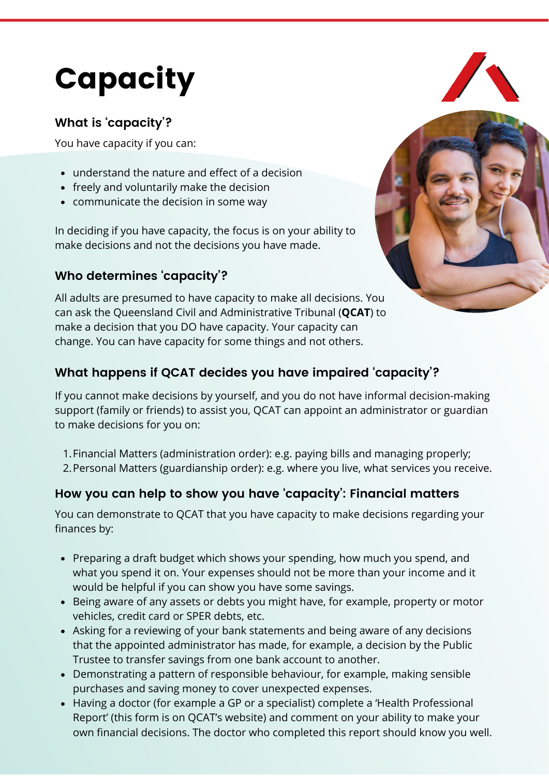# Capacity

## **What is 'capacity'?**

You have capacity if you can:

- understand the nature and effect of a decision
- freely and voluntarily make the decision
- communicate the decision in some way

In deciding if you have capacity, the focus is on your ability to make decisions and not the decisions you have made.

## **Who determines 'capacity'?**

All adults are presumed to have capacity to make all decisions. You can ask the Queensland Civil and Administrative Tribunal (**QCAT**) to make a decision that you DO have capacity. Your capacity can change. You can have capacity for some things and not others.



## **What happens if QCAT decides you have impaired 'capacity'?**

If you cannot make decisions by yourself, and you do not have informal decision-making support (family or friends) to assist you, QCAT can appoint an administrator or guardian to make decisions for you on:

- Financial Matters (administration order): e.g. paying bills and managing properly; 1.
- 2. Personal Matters (guardianship order): e.g. where you live, what services you receive.

## **How you can help to show you have 'capacity': Financial matters**

You can demonstrate to QCAT that you have capacity to make decisions regarding your finances by:

- Preparing a draft budget which shows your spending, how much you spend, and what you spend it on. Your expenses should not be more than your income and it would be helpful if you can show you have some savings.
- Being aware of any assets or debts you might have, for example, property or motor vehicles, credit card or SPER debts, etc.
- Asking for a reviewing of your bank statements and being aware of any decisions that the appointed administrator has made, for example, a decision by the Public Trustee to transfer savings from one bank account to another.
- Demonstrating a pattern of responsible behaviour, for example, making sensible purchases and saving money to cover unexpected expenses.
- Having a doctor (for example a GP or a specialist) complete a 'Health Professional Report' (this form is on QCAT's website) and comment on your ability to make your own financial decisions. The doctor who completed this report should know you well.